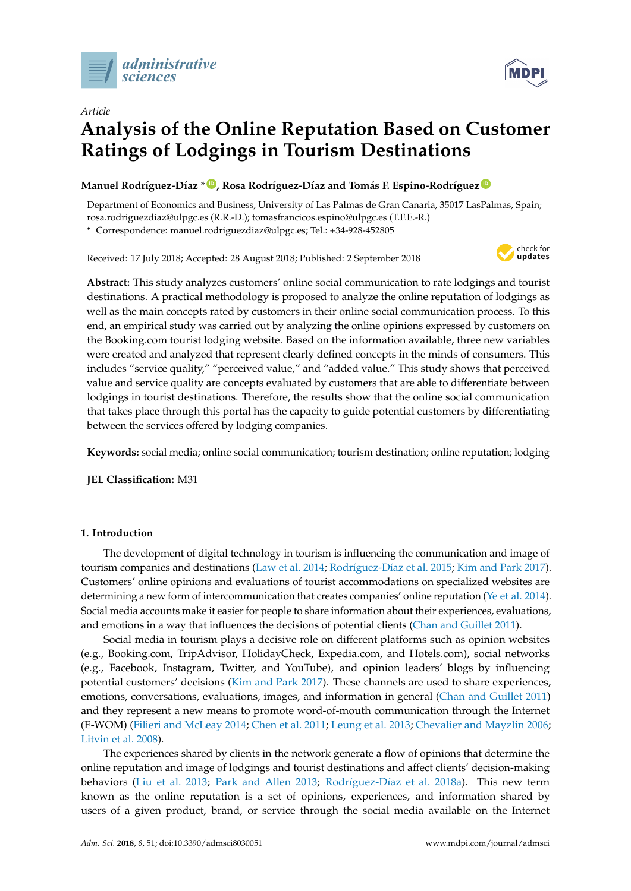

*Article*



# **Analysis of the Online Reputation Based on Customer Ratings of Lodgings in Tourism Destinations**

### **Manuel Rodríguez-Díaz \* [ID](https://orcid.org/0000-0003-2513-418X) , Rosa Rodríguez-Díaz and Tomás F. Espino-Rodríguez [ID](https://orcid.org/0000-0002-4292-504X)**

Department of Economics and Business, University of Las Palmas de Gran Canaria, 35017 LasPalmas, Spain; rosa.rodriguezdiaz@ulpgc.es (R.R.-D.); tomasfrancicos.espino@ulpgc.es (T.F.E.-R.)

**\*** Correspondence: manuel.rodriguezdiaz@ulpgc.es; Tel.: +34-928-452805

Received: 17 July 2018; Accepted: 28 August 2018; Published: 2 September 2018



**Abstract:** This study analyzes customers' online social communication to rate lodgings and tourist destinations. A practical methodology is proposed to analyze the online reputation of lodgings as well as the main concepts rated by customers in their online social communication process. To this end, an empirical study was carried out by analyzing the online opinions expressed by customers on the Booking.com tourist lodging website. Based on the information available, three new variables were created and analyzed that represent clearly defined concepts in the minds of consumers. This includes "service quality," "perceived value," and "added value." This study shows that perceived value and service quality are concepts evaluated by customers that are able to differentiate between lodgings in tourist destinations. Therefore, the results show that the online social communication that takes place through this portal has the capacity to guide potential customers by differentiating between the services offered by lodging companies.

**Keywords:** social media; online social communication; tourism destination; online reputation; lodging

**JEL Classification:** M31

### **1. Introduction**

The development of digital technology in tourism is influencing the communication and image of tourism companies and destinations [\(Law et al.](#page-15-0) [2014;](#page-15-0) Rodríguez-Dí[az et al.](#page-16-0) [2015;](#page-16-0) [Kim and Park](#page-15-1) [2017\)](#page-15-1). Customers' online opinions and evaluations of tourist accommodations on specialized websites are determining a new form of intercommunication that creates companies' online reputation [\(Ye et al.](#page-17-0) [2014\)](#page-17-0). Social media accounts make it easier for people to share information about their experiences, evaluations, and emotions in a way that influences the decisions of potential clients [\(Chan and Guillet](#page-14-0) [2011\)](#page-14-0).

Social media in tourism plays a decisive role on different platforms such as opinion websites (e.g., Booking.com, TripAdvisor, HolidayCheck, Expedia.com, and Hotels.com), social networks (e.g., Facebook, Instagram, Twitter, and YouTube), and opinion leaders' blogs by influencing potential customers' decisions [\(Kim and Park](#page-15-1) [2017\)](#page-15-1). These channels are used to share experiences, emotions, conversations, evaluations, images, and information in general [\(Chan and Guillet](#page-14-0) [2011\)](#page-14-0) and they represent a new means to promote word-of-mouth communication through the Internet (E-WOM) [\(Filieri and McLeay](#page-14-1) [2014;](#page-14-1) [Chen et al.](#page-14-2) [2011;](#page-14-2) [Leung et al.](#page-15-2) [2013;](#page-15-2) [Chevalier and Mayzlin](#page-14-3) [2006;](#page-14-3) [Litvin et al.](#page-15-3) [2008\)](#page-15-3).

The experiences shared by clients in the network generate a flow of opinions that determine the online reputation and image of lodgings and tourist destinations and affect clients' decision-making behaviors [\(Liu et al.](#page-15-4) [2013;](#page-15-4) [Park and Allen](#page-16-1) [2013;](#page-16-1) Rodríguez-Dí[az et al.](#page-16-2) [2018a\)](#page-16-2). This new term known as the online reputation is a set of opinions, experiences, and information shared by users of a given product, brand, or service through the social media available on the Internet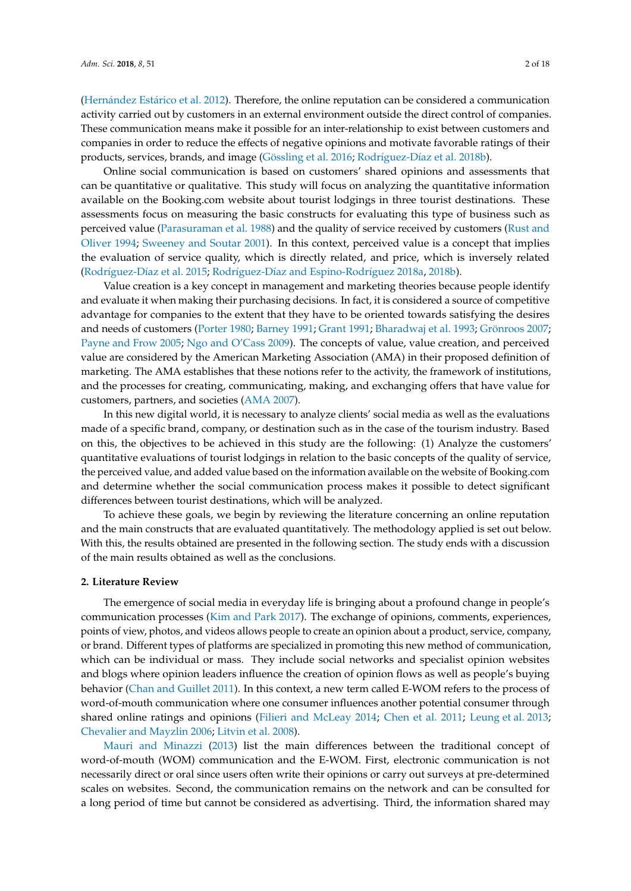(Hernández Está[rico et al.](#page-15-5) [2012\)](#page-15-5). Therefore, the online reputation can be considered a communication activity carried out by customers in an external environment outside the direct control of companies. These communication means make it possible for an inter-relationship to exist between customers and companies in order to reduce the effects of negative opinions and motivate favorable ratings of their products, services, brands, and image [\(Gössling et al.](#page-15-6) [2016;](#page-15-6) Rodríguez-Dí[az et al.](#page-16-3) [2018b\)](#page-16-3).

Online social communication is based on customers' shared opinions and assessments that can be quantitative or qualitative. This study will focus on analyzing the quantitative information available on the Booking.com website about tourist lodgings in three tourist destinations. These assessments focus on measuring the basic constructs for evaluating this type of business such as perceived value [\(Parasuraman et al.](#page-16-4) [1988\)](#page-16-4) and the quality of service received by customers [\(Rust and](#page-16-5) [Oliver](#page-16-5) [1994;](#page-16-5) [Sweeney and Soutar](#page-16-6) [2001\)](#page-16-6). In this context, perceived value is a concept that implies the evaluation of service quality, which is directly related, and price, which is inversely related (Rodríguez-Dí[az et al.](#page-16-0) [2015;](#page-16-0) Rodríguez-Dí[az and Espino-Rodr](#page-16-7)íguez [2018a,](#page-16-7) [2018b\)](#page-16-8).

Value creation is a key concept in management and marketing theories because people identify and evaluate it when making their purchasing decisions. In fact, it is considered a source of competitive advantage for companies to the extent that they have to be oriented towards satisfying the desires and needs of customers [\(Porter](#page-16-9) [1980;](#page-16-9) [Barney](#page-14-4) [1991;](#page-14-4) [Grant](#page-15-7) [1991;](#page-15-7) [Bharadwaj et al.](#page-14-5) [1993;](#page-14-5) [Grönroos](#page-15-8) [2007;](#page-15-8) [Payne and Frow](#page-16-10) [2005;](#page-16-10) [Ngo and O'Cass](#page-15-9) [2009\)](#page-15-9). The concepts of value, value creation, and perceived value are considered by the American Marketing Association (AMA) in their proposed definition of marketing. The AMA establishes that these notions refer to the activity, the framework of institutions, and the processes for creating, communicating, making, and exchanging offers that have value for customers, partners, and societies [\(AMA](#page-14-6) [2007\)](#page-14-6).

In this new digital world, it is necessary to analyze clients' social media as well as the evaluations made of a specific brand, company, or destination such as in the case of the tourism industry. Based on this, the objectives to be achieved in this study are the following: (1) Analyze the customers' quantitative evaluations of tourist lodgings in relation to the basic concepts of the quality of service, the perceived value, and added value based on the information available on the website of Booking.com and determine whether the social communication process makes it possible to detect significant differences between tourist destinations, which will be analyzed.

To achieve these goals, we begin by reviewing the literature concerning an online reputation and the main constructs that are evaluated quantitatively. The methodology applied is set out below. With this, the results obtained are presented in the following section. The study ends with a discussion of the main results obtained as well as the conclusions.

### **2. Literature Review**

The emergence of social media in everyday life is bringing about a profound change in people's communication processes [\(Kim and Park](#page-15-1) [2017\)](#page-15-1). The exchange of opinions, comments, experiences, points of view, photos, and videos allows people to create an opinion about a product, service, company, or brand. Different types of platforms are specialized in promoting this new method of communication, which can be individual or mass. They include social networks and specialist opinion websites and blogs where opinion leaders influence the creation of opinion flows as well as people's buying behavior [\(Chan and Guillet](#page-14-0) [2011\)](#page-14-0). In this context, a new term called E-WOM refers to the process of word-of-mouth communication where one consumer influences another potential consumer through shared online ratings and opinions [\(Filieri and McLeay](#page-14-1) [2014;](#page-14-1) [Chen et al.](#page-14-2) [2011;](#page-14-2) [Leung et al.](#page-15-2) [2013;](#page-15-2) [Chevalier and Mayzlin](#page-14-3) [2006;](#page-14-3) [Litvin et al.](#page-15-3) [2008\)](#page-15-3).

[Mauri and Minazzi](#page-15-10) [\(2013\)](#page-15-10) list the main differences between the traditional concept of word-of-mouth (WOM) communication and the E-WOM. First, electronic communication is not necessarily direct or oral since users often write their opinions or carry out surveys at pre-determined scales on websites. Second, the communication remains on the network and can be consulted for a long period of time but cannot be considered as advertising. Third, the information shared may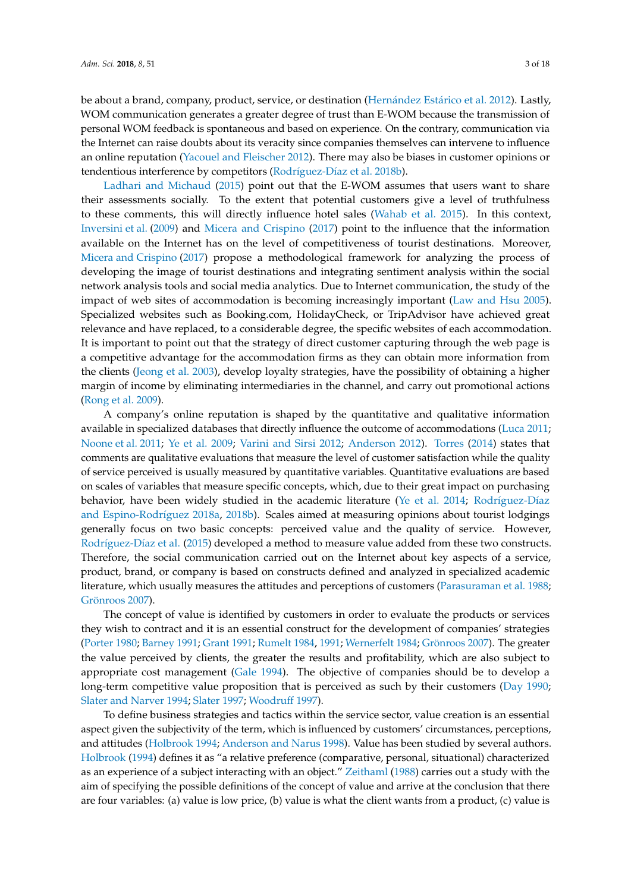be about a brand, company, product, service, or destination (Hernández Está[rico et al.](#page-15-5) [2012\)](#page-15-5). Lastly, WOM communication generates a greater degree of trust than E-WOM because the transmission of personal WOM feedback is spontaneous and based on experience. On the contrary, communication via the Internet can raise doubts about its veracity since companies themselves can intervene to influence an online reputation [\(Yacouel and Fleischer](#page-17-1) [2012\)](#page-17-1). There may also be biases in customer opinions or

tendentious interference by competitors (Rodríguez-Dí[az et al.](#page-16-3) [2018b\)](#page-16-3). [Ladhari and Michaud](#page-15-11) [\(2015\)](#page-15-11) point out that the E-WOM assumes that users want to share their assessments socially. To the extent that potential customers give a level of truthfulness to these comments, this will directly influence hotel sales [\(Wahab et al.](#page-17-2) [2015\)](#page-17-2). In this context, [Inversini et al.](#page-15-12) [\(2009\)](#page-15-12) and [Micera and Crispino](#page-15-13) [\(2017\)](#page-15-13) point to the influence that the information available on the Internet has on the level of competitiveness of tourist destinations. Moreover, [Micera and Crispino](#page-15-13) [\(2017\)](#page-15-13) propose a methodological framework for analyzing the process of developing the image of tourist destinations and integrating sentiment analysis within the social network analysis tools and social media analytics. Due to Internet communication, the study of the impact of web sites of accommodation is becoming increasingly important [\(Law and Hsu](#page-15-14) [2005\)](#page-15-14). Specialized websites such as Booking.com, HolidayCheck, or TripAdvisor have achieved great relevance and have replaced, to a considerable degree, the specific websites of each accommodation. It is important to point out that the strategy of direct customer capturing through the web page is a competitive advantage for the accommodation firms as they can obtain more information from the clients [\(Jeong et al.](#page-15-15) [2003\)](#page-15-15), develop loyalty strategies, have the possibility of obtaining a higher margin of income by eliminating intermediaries in the channel, and carry out promotional actions [\(Rong et al.](#page-16-11) [2009\)](#page-16-11).

A company's online reputation is shaped by the quantitative and qualitative information available in specialized databases that directly influence the outcome of accommodations [\(Luca](#page-15-16) [2011;](#page-15-16) [Noone et al.](#page-16-12) [2011;](#page-16-12) [Ye et al.](#page-17-3) [2009;](#page-17-3) [Varini and Sirsi](#page-17-4) [2012;](#page-17-4) [Anderson](#page-14-7) [2012\)](#page-14-7). [Torres](#page-16-13) [\(2014\)](#page-16-13) states that comments are qualitative evaluations that measure the level of customer satisfaction while the quality of service perceived is usually measured by quantitative variables. Quantitative evaluations are based on scales of variables that measure specific concepts, which, due to their great impact on purchasing behavior, have been widely studied in the academic literature [\(Ye et al.](#page-17-0) [2014;](#page-17-0) Rodrí[guez-D](#page-16-7)íaz [and Espino-Rodr](#page-16-7)íguez [2018a,](#page-16-7) [2018b\)](#page-16-8). Scales aimed at measuring opinions about tourist lodgings generally focus on two basic concepts: perceived value and the quality of service. However, Rodríguez-Dí[az et al.](#page-16-0) [\(2015\)](#page-16-0) developed a method to measure value added from these two constructs. Therefore, the social communication carried out on the Internet about key aspects of a service, product, brand, or company is based on constructs defined and analyzed in specialized academic literature, which usually measures the attitudes and perceptions of customers [\(Parasuraman et al.](#page-16-4) [1988;](#page-16-4) [Grönroos](#page-15-8) [2007\)](#page-15-8).

The concept of value is identified by customers in order to evaluate the products or services they wish to contract and it is an essential construct for the development of companies' strategies [\(Porter](#page-16-9) [1980;](#page-16-9) [Barney](#page-14-4) [1991;](#page-14-4) [Grant](#page-15-7) [1991;](#page-15-7) [Rumelt](#page-16-14) [1984,](#page-16-14) [1991;](#page-16-15) [Wernerfelt](#page-17-5) [1984;](#page-17-5) [Grönroos](#page-15-8) [2007\)](#page-15-8). The greater the value perceived by clients, the greater the results and profitability, which are also subject to appropriate cost management [\(Gale](#page-14-8) [1994\)](#page-14-8). The objective of companies should be to develop a long-term competitive value proposition that is perceived as such by their customers [\(Day](#page-14-9) [1990;](#page-14-9) [Slater and Narver](#page-16-16) [1994;](#page-16-16) [Slater](#page-16-17) [1997;](#page-16-17) [Woodruff](#page-17-6) [1997\)](#page-17-6).

To define business strategies and tactics within the service sector, value creation is an essential aspect given the subjectivity of the term, which is influenced by customers' circumstances, perceptions, and attitudes [\(Holbrook](#page-15-17) [1994;](#page-15-17) [Anderson and Narus](#page-14-10) [1998\)](#page-14-10). Value has been studied by several authors. [Holbrook](#page-15-17) [\(1994\)](#page-15-17) defines it as "a relative preference (comparative, personal, situational) characterized as an experience of a subject interacting with an object." [Zeithaml](#page-17-7) [\(1988\)](#page-17-7) carries out a study with the aim of specifying the possible definitions of the concept of value and arrive at the conclusion that there are four variables: (a) value is low price, (b) value is what the client wants from a product, (c) value is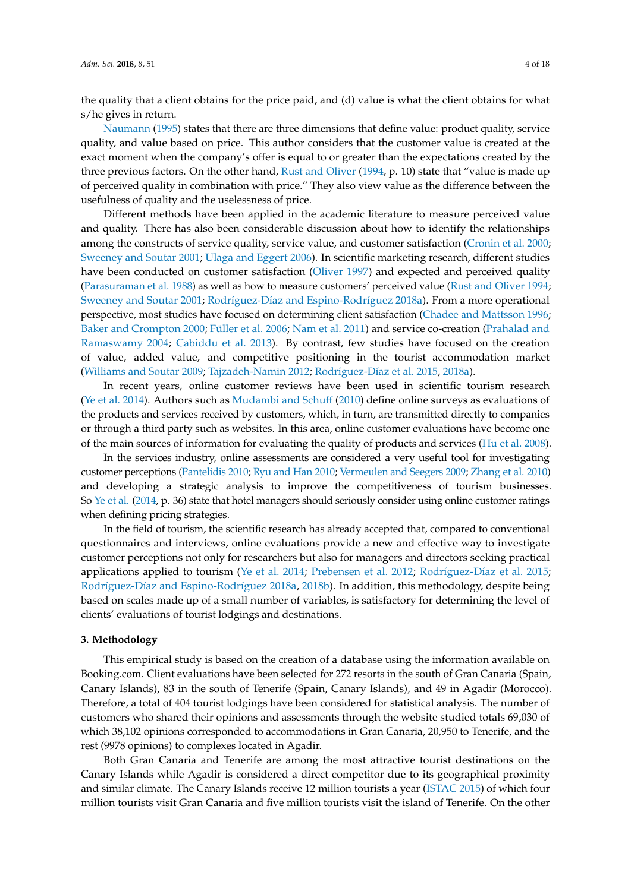the quality that a client obtains for the price paid, and (d) value is what the client obtains for what s/he gives in return.

[Naumann](#page-15-18) [\(1995\)](#page-15-18) states that there are three dimensions that define value: product quality, service quality, and value based on price. This author considers that the customer value is created at the exact moment when the company's offer is equal to or greater than the expectations created by the three previous factors. On the other hand, [Rust and Oliver](#page-16-5) [\(1994,](#page-16-5) p. 10) state that "value is made up of perceived quality in combination with price." They also view value as the difference between the usefulness of quality and the uselessness of price.

Different methods have been applied in the academic literature to measure perceived value and quality. There has also been considerable discussion about how to identify the relationships among the constructs of service quality, service value, and customer satisfaction [\(Cronin et al.](#page-14-11) [2000;](#page-14-11) [Sweeney and Soutar](#page-16-6) [2001;](#page-16-6) [Ulaga and Eggert](#page-17-8) [2006\)](#page-17-8). In scientific marketing research, different studies have been conducted on customer satisfaction [\(Oliver](#page-16-18) [1997\)](#page-16-18) and expected and perceived quality [\(Parasuraman et al.](#page-16-4) [1988\)](#page-16-4) as well as how to measure customers' perceived value [\(Rust and Oliver](#page-16-5) [1994;](#page-16-5) [Sweeney and Soutar](#page-16-6) [2001;](#page-16-6) Rodríguez-Dí[az and Espino-Rodr](#page-16-7)íguez [2018a\)](#page-16-7). From a more operational perspective, most studies have focused on determining client satisfaction [\(Chadee and Mattsson](#page-14-12) [1996;](#page-14-12) [Baker and Crompton](#page-14-13) [2000;](#page-14-13) [Füller et al.](#page-14-14) [2006;](#page-14-14) [Nam et al.](#page-15-19) [2011\)](#page-15-19) and service co-creation [\(Prahalad and](#page-16-19) [Ramaswamy](#page-16-19) [2004;](#page-16-19) [Cabiddu et al.](#page-14-15) [2013\)](#page-14-15). By contrast, few studies have focused on the creation of value, added value, and competitive positioning in the tourist accommodation market [\(Williams and Soutar](#page-17-9) [2009;](#page-17-9) [Tajzadeh-Namin](#page-16-20) [2012;](#page-16-20) Rodríguez-Dí[az et al.](#page-16-0) [2015,](#page-16-0) [2018a\)](#page-16-2).

In recent years, online customer reviews have been used in scientific tourism research [\(Ye et al.](#page-17-0) [2014\)](#page-17-0). Authors such as [Mudambi and Schuff](#page-15-20) [\(2010\)](#page-15-20) define online surveys as evaluations of the products and services received by customers, which, in turn, are transmitted directly to companies or through a third party such as websites. In this area, online customer evaluations have become one of the main sources of information for evaluating the quality of products and services [\(Hu et al.](#page-15-21) [2008\)](#page-15-21).

In the services industry, online assessments are considered a very useful tool for investigating customer perceptions [\(Pantelidis](#page-16-21) [2010;](#page-16-21) [Ryu and Han](#page-16-22) [2010;](#page-16-22) [Vermeulen and Seegers](#page-17-10) [2009;](#page-17-10) [Zhang et al.](#page-17-11) [2010\)](#page-17-11) and developing a strategic analysis to improve the competitiveness of tourism businesses. So [Ye et al.](#page-17-0) [\(2014,](#page-17-0) p. 36) state that hotel managers should seriously consider using online customer ratings when defining pricing strategies.

In the field of tourism, the scientific research has already accepted that, compared to conventional questionnaires and interviews, online evaluations provide a new and effective way to investigate customer perceptions not only for researchers but also for managers and directors seeking practical applications applied to tourism [\(Ye et al.](#page-17-0) [2014;](#page-17-0) [Prebensen et al.](#page-16-23) [2012;](#page-16-23) Rodríguez-Dí[az et al.](#page-16-0) [2015;](#page-16-0) Rodríguez-Dí[az and Espino-Rodr](#page-16-7)íguez [2018a,](#page-16-7) [2018b\)](#page-16-8). In addition, this methodology, despite being based on scales made up of a small number of variables, is satisfactory for determining the level of clients' evaluations of tourist lodgings and destinations.

#### **3. Methodology**

This empirical study is based on the creation of a database using the information available on Booking.com. Client evaluations have been selected for 272 resorts in the south of Gran Canaria (Spain, Canary Islands), 83 in the south of Tenerife (Spain, Canary Islands), and 49 in Agadir (Morocco). Therefore, a total of 404 tourist lodgings have been considered for statistical analysis. The number of customers who shared their opinions and assessments through the website studied totals 69,030 of which 38,102 opinions corresponded to accommodations in Gran Canaria, 20,950 to Tenerife, and the rest (9978 opinions) to complexes located in Agadir.

Both Gran Canaria and Tenerife are among the most attractive tourist destinations on the Canary Islands while Agadir is considered a direct competitor due to its geographical proximity and similar climate. The Canary Islands receive 12 million tourists a year [\(ISTAC](#page-15-22) [2015\)](#page-15-22) of which four million tourists visit Gran Canaria and five million tourists visit the island of Tenerife. On the other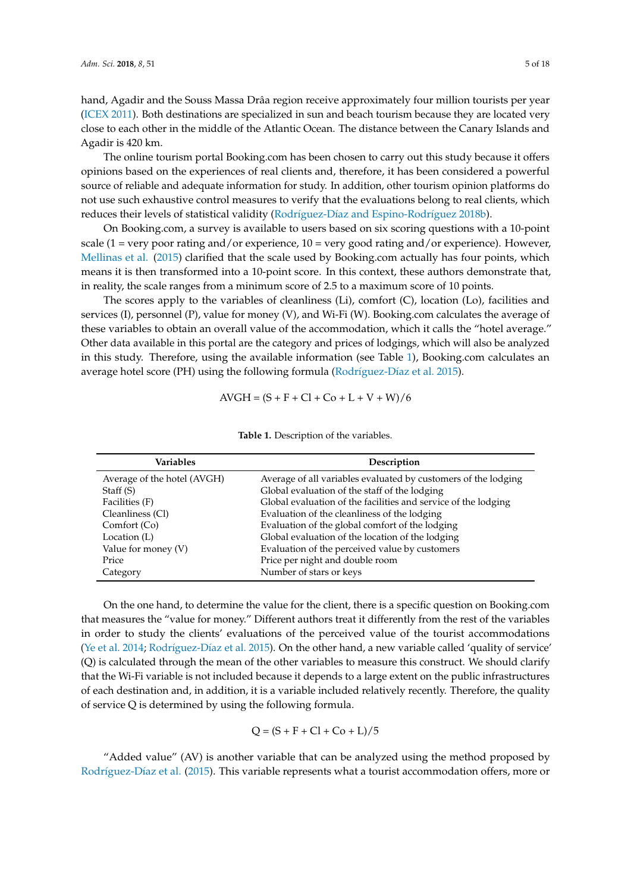hand, Agadir and the Souss Massa Drâa region receive approximately four million tourists per year [\(ICEX](#page-15-23) [2011\)](#page-15-23). Both destinations are specialized in sun and beach tourism because they are located very close to each other in the middle of the Atlantic Ocean. The distance between the Canary Islands and Agadir is 420 km.

The online tourism portal Booking.com has been chosen to carry out this study because it offers opinions based on the experiences of real clients and, therefore, it has been considered a powerful source of reliable and adequate information for study. In addition, other tourism opinion platforms do not use such exhaustive control measures to verify that the evaluations belong to real clients, which reduces their levels of statistical validity (Rodríguez-Dí[az and Espino-Rodr](#page-16-8)íguez [2018b\)](#page-16-8).

On Booking.com, a survey is available to users based on six scoring questions with a 10-point scale (1 = very poor rating and/or experience, 10 = very good rating and/or experience). However, [Mellinas et al.](#page-15-24) [\(2015\)](#page-15-24) clarified that the scale used by Booking.com actually has four points, which means it is then transformed into a 10-point score. In this context, these authors demonstrate that, in reality, the scale ranges from a minimum score of 2.5 to a maximum score of 10 points.

The scores apply to the variables of cleanliness (Li), comfort (C), location (Lo), facilities and services (I), personnel (P), value for money (V), and Wi-Fi (W). Booking.com calculates the average of these variables to obtain an overall value of the accommodation, which it calls the "hotel average." Other data available in this portal are the category and prices of lodgings, which will also be analyzed in this study. Therefore, using the available information (see Table [1\)](#page-4-0), Booking.com calculates an average hotel score (PH) using the following formula (Rodríguez-Dí[az et al.](#page-16-0) [2015\)](#page-16-0).

$$
AVGH = (S + F + Cl + Co + L + V + W)/6
$$

<span id="page-4-0"></span>

| <b>Variables</b>            | Description                                                    |
|-----------------------------|----------------------------------------------------------------|
| Average of the hotel (AVGH) | Average of all variables evaluated by customers of the lodging |
| Staff (S)                   | Global evaluation of the staff of the lodging                  |
| Facilities (F)              | Global evaluation of the facilities and service of the lodging |
| Cleanliness (Cl)            | Evaluation of the cleanliness of the lodging                   |
| Comfort (Co)                | Evaluation of the global comfort of the lodging                |
| Location (L)                | Global evaluation of the location of the lodging               |
| Value for money (V)         | Evaluation of the perceived value by customers                 |
| Price                       | Price per night and double room                                |
| Category                    | Number of stars or keys                                        |

**Table 1.** Description of the variables.

On the one hand, to determine the value for the client, there is a specific question on Booking.com that measures the "value for money." Different authors treat it differently from the rest of the variables in order to study the clients' evaluations of the perceived value of the tourist accommodations [\(Ye et al.](#page-17-0) [2014;](#page-17-0) Rodríguez-Dí[az et al.](#page-16-0) [2015\)](#page-16-0). On the other hand, a new variable called 'quality of service' (Q) is calculated through the mean of the other variables to measure this construct. We should clarify that the Wi-Fi variable is not included because it depends to a large extent on the public infrastructures of each destination and, in addition, it is a variable included relatively recently. Therefore, the quality of service Q is determined by using the following formula.

$$
Q = (S + F + Cl + Co + L)/5
$$

"Added value" (AV) is another variable that can be analyzed using the method proposed by Rodríguez-Dí[az et al.](#page-16-0) [\(2015\)](#page-16-0). This variable represents what a tourist accommodation offers, more or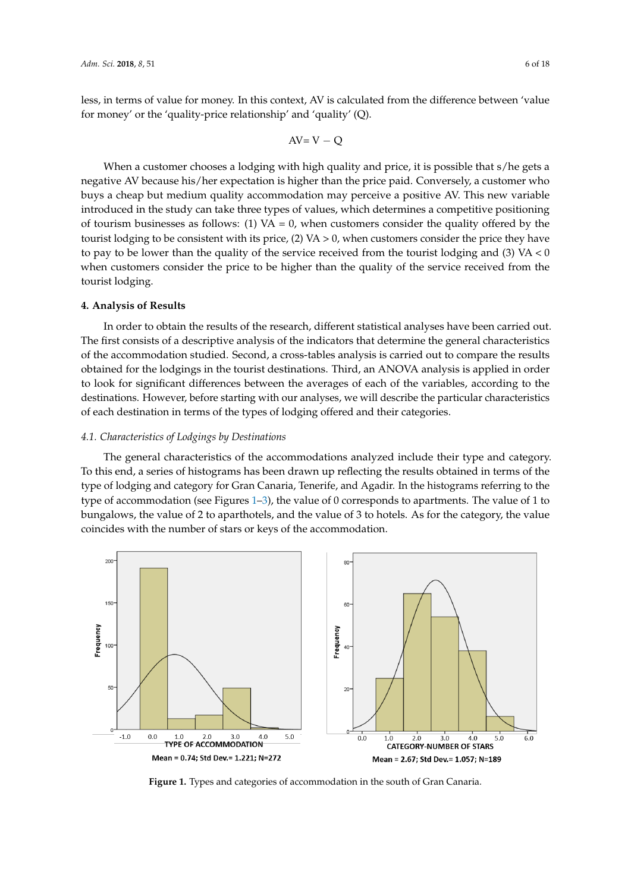less, in terms of value for money. In this context, AV is calculated from the difference between 'value for money' or the 'quality-price relationship' and 'quality' (Q).

$$
AV=V-Q
$$

When a customer chooses a lodging with high quality and price, it is possible that s/he gets a negative AV because his/her expectation is higher than the price paid. Conversely, a customer who buys a cheap but medium quality accommodation may perceive a positive AV. This new variable introduced in the study can take three types of values, which determines a competitive positioning of tourism businesses as follows: (1) VA = 0, when customers consider the quality offered by the tourist lodging to be consistent with its price,  $(2)$  VA  $> 0$ , when customers consider the price they have to anstronging to be consistent with its price,  $\sum$  if the symmetric consider the price they have to pay to be lower than the quality of the service received from the tourist lodging and (3) VA < 0 when customers consider the price to be higher than the quality of the service received from the tourist lodging. tourist lodging.  $h_{\alpha}$  for the particle received from the tourist lodging and (3)  $\alpha$  VA

## **4. Analysis of Results 4. Analysis of Results**

In order to obtain the results of the research, different statistical analyses have been carried out. In order to obtain the results of the research, different statistical analyses have been carried out. The first consists of a descriptive analysis of the indicators that determine the general characteristics The first consists of a descriptive analysis of the indicators that determine the general characteristics of the accommodation studied. Second, a cross-tables analysis is carried out to compare the results of the accommodation studied. Second, a cross-tables analysis is carried out to compare the results obtained for the lodgings in the tourist destinations. Third, an ANOVA analysis is applied in order to look for significant differences between the averages of each of the variables, according to the to look for significant differences between the averages of each of the variables, according to the destinations. However, before starting with our analyses, we will describe the particular characteristics destinations. However, before starting with our analyses, we will describe the particular of each destination in terms of the types of lodging offered and their categories.

### *4.1. Characteristics of Lodgings by Destinations 4.1. Characteristics of Lodgings by Destinations*

The general characteristics of the accommodations analyzed include their type and category. The general characteristics of the accommodations analyzed include their type and category. To To this end, a series of histograms has been drawn up reflecting the results obtained in terms of the  $t$ type of lodging and category for Gran Canaria, Tenerife, and Agadir. In the histograms referring to the type of accommodation (see Figures [1–](#page-5-0)[3\)](#page-6-0), the value of 0 corresponds to apartments. The value of 1 to type of accommodation (see Figures 1–3), the value of 0 corresponds to apartments. The value of 1 to bungalows, the value of 2 to aparthotels, and the value of 3 to hotels. As for the category, the value bungalows, the value of 2 to aparthotels, and the value of 3 to hotels. As for the category, the value coincides with the number of stars or keys of the accommodation. coincides with the number of stars or keys of the accommodation.

<span id="page-5-0"></span>

**Figure 1.** Types and categories of accommodation in the south of Gran Canaria. **Figure 1.** Types and categories of accommodation in the south of Gran Canaria.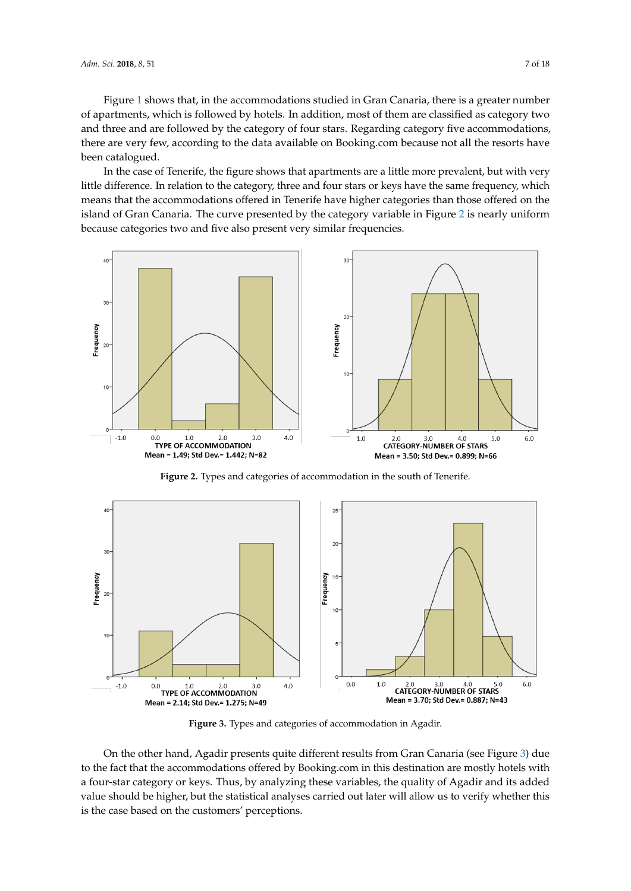Figure [1](#page-5-0) shows that, in the accommodations studied in Gran Canaria, there is a greater number of apartments, which is followed by hotels. In addition, most of them are classified as category two and three and are followed by the category of four stars. Regarding category five accommodations, there are very few, according to the data available on Booking.com because not all the resorts have been catalogued.

In the case of Tenerife, the figure shows that apartments are a little more prevalent, but with very little difference. In relation to the category, three and four stars or keys have the same frequency, which means that the accommodations offered in Tenerife have higher categories than those offered on the island of Gran Canaria. The curve presented by the category variable in Figure [2](#page-6-1) is nearly uniform because categories two and five also present very similar frequencies.

<span id="page-6-1"></span>

**Figure 2.** Types and categories of accommodation in the south of Tenerife.

<span id="page-6-0"></span>

**Figure 3.** Types and categories of accommodation in Agadir. **Figure 3.** Types and categories of accommodation in Agadir. **Figure 3.** Types and categories of accommodation in Agadir.

On the other hand, Agadir presents quite different results from Gran Canaria (see Figure 3[\) d](#page-6-0)ue to the fact that the accommodations offered by Booking.com in this destination are mostly hotels with a four-star category or keys. Thus, by analyzing these variables, the quality of Agadir and its added value should be higher, but the statistical analyses carried out later will allow us to verify whether this this is the case based on the customers' perceptions. this is the case based on the customers' perceptions. is the case based on the customers' perceptions.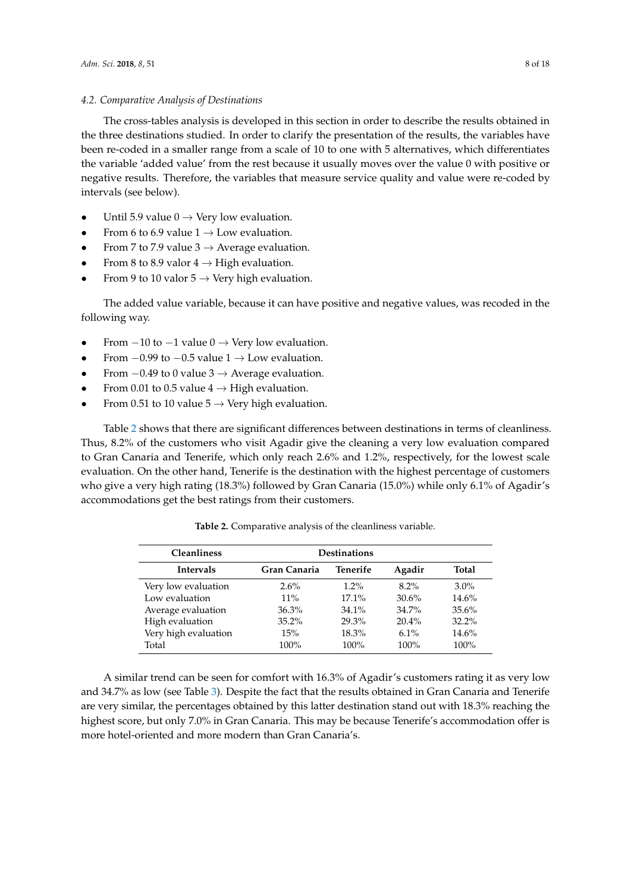### *4.2. Comparative Analysis of Destinations*

The cross-tables analysis is developed in this section in order to describe the results obtained in the three destinations studied. In order to clarify the presentation of the results, the variables have been re-coded in a smaller range from a scale of 10 to one with 5 alternatives, which differentiates the variable 'added value' from the rest because it usually moves over the value 0 with positive or negative results. Therefore, the variables that measure service quality and value were re-coded by intervals (see below).

- Until 5.9 value  $0 \rightarrow$  Very low evaluation.
- From 6 to 6.9 value  $1 \rightarrow$  Low evaluation.
- From 7 to 7.9 value  $3 \rightarrow$  Average evaluation.
- From 8 to 8.9 valor  $4 \rightarrow$  High evaluation.
- From 9 to 10 valor  $5 \rightarrow$  Very high evaluation.

The added value variable, because it can have positive and negative values, was recoded in the following way.

- From  $-10$  to  $-1$  value  $0 \rightarrow$  Very low evaluation.
- From  $-0.99$  to  $-0.5$  value  $1 \rightarrow$  Low evaluation.
- From  $-0.49$  to 0 value 3  $\rightarrow$  Average evaluation.
- From 0.01 to 0.5 value  $4 \rightarrow$  High evaluation.
- From 0.51 to 10 value  $5 \rightarrow$  Very high evaluation.

Table [2](#page-7-0) shows that there are significant differences between destinations in terms of cleanliness. Thus, 8.2% of the customers who visit Agadir give the cleaning a very low evaluation compared to Gran Canaria and Tenerife, which only reach 2.6% and 1.2%, respectively, for the lowest scale evaluation. On the other hand, Tenerife is the destination with the highest percentage of customers who give a very high rating (18.3%) followed by Gran Canaria (15.0%) while only 6.1% of Agadir's accommodations get the best ratings from their customers.

<span id="page-7-0"></span>

| <b>Cleanliness</b>   | <b>Destinations</b> |          |              |          |  |
|----------------------|---------------------|----------|--------------|----------|--|
| <b>Intervals</b>     | Gran Canaria        | Agadir   | <b>Total</b> |          |  |
| Very low evaluation  | $2.6\%$             | $1.2\%$  | $8.2\%$      | $3.0\%$  |  |
| Low evaluation       | $11\%$              | $17.1\%$ | 30.6%        | 14.6%    |  |
| Average evaluation   | 36.3%               | $34.1\%$ | $34.7\%$     | 35.6%    |  |
| High evaluation      | 35.2%               | 29.3%    | $20.4\%$     | $32.2\%$ |  |
| Very high evaluation | 15%                 | 18.3%    | $6.1\%$      | 14.6%    |  |
| Total                | 100%                | $100\%$  | 100%         | $100\%$  |  |

**Table 2.** Comparative analysis of the cleanliness variable.

A similar trend can be seen for comfort with 16.3% of Agadir's customers rating it as very low and 34.7% as low (see Table [3\)](#page-8-0). Despite the fact that the results obtained in Gran Canaria and Tenerife are very similar, the percentages obtained by this latter destination stand out with 18.3% reaching the highest score, but only 7.0% in Gran Canaria. This may be because Tenerife's accommodation offer is more hotel-oriented and more modern than Gran Canaria's.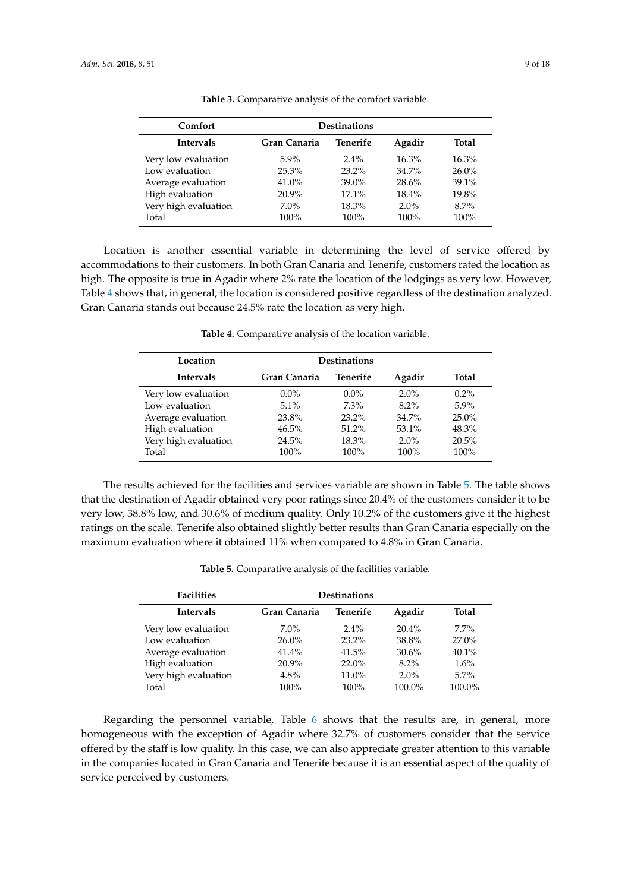<span id="page-8-0"></span>

| Comfort              | <b>Destinations</b> |          |          |              |  |
|----------------------|---------------------|----------|----------|--------------|--|
| <b>Intervals</b>     | Gran Canaria        | Tenerife | Agadir   | <b>Total</b> |  |
| Very low evaluation  | $5.9\%$             | $2.4\%$  | $16.3\%$ | $16.3\%$     |  |
| Low evaluation       | 25.3%               | $23.2\%$ | $34.7\%$ | $26.0\%$     |  |
| Average evaluation   | 41.0%               | $39.0\%$ | 28.6%    | 39.1%        |  |
| High evaluation      | $20.9\%$            | $17.1\%$ | 18.4%    | 19.8%        |  |
| Very high evaluation | $7.0\%$             | 18.3%    | $2.0\%$  | $8.7\%$      |  |
| Total                | 100%                | $100\%$  | $100\%$  | 100%         |  |

**Table 3.** Comparative analysis of the comfort variable.

Location is another essential variable in determining the level of service offered by accommodations to their customers. In both Gran Canaria and Tenerife, customers rated the location as high. The opposite is true in Agadir where 2% rate the location of the lodgings as very low. However, Table [4](#page-8-1) shows that, in general, the location is considered positive regardless of the destination analyzed. Gran Canaria stands out because 24.5% rate the location as very high.

<span id="page-8-1"></span>

| Location             | <b>Destinations</b>                |          |         |          |  |  |
|----------------------|------------------------------------|----------|---------|----------|--|--|
| <b>Intervals</b>     | Tenerife<br>Gran Canaria<br>Agadir |          |         |          |  |  |
| Very low evaluation  | $0.0\%$                            | $0.0\%$  | $2.0\%$ | $0.2\%$  |  |  |
| Low evaluation       | $5.1\%$                            | $7.3\%$  | $8.2\%$ | $5.9\%$  |  |  |
| Average evaluation   | 23.8%                              | $23.2\%$ | 34.7%   | $25.0\%$ |  |  |
| High evaluation      | 46.5%                              | $51.2\%$ | 53.1%   | 48.3%    |  |  |
| Very high evaluation | 24.5%                              | 18.3%    | $2.0\%$ | 20.5%    |  |  |
| Total                | 100%                               | 100%     | 100%    | 100%     |  |  |

**Table 4.** Comparative analysis of the location variable.

The results achieved for the facilities and services variable are shown in Table [5.](#page-8-2) The table shows that the destination of Agadir obtained very poor ratings since 20.4% of the customers consider it to be very low, 38.8% low, and 30.6% of medium quality. Only 10.2% of the customers give it the highest ratings on the scale. Tenerife also obtained slightly better results than Gran Canaria especially on the maximum evaluation where it obtained 11% when compared to 4.8% in Gran Canaria.

|  | Table 5. Comparative analysis of the facilities variable. |  |  |  |
|--|-----------------------------------------------------------|--|--|--|
|--|-----------------------------------------------------------|--|--|--|

<span id="page-8-2"></span>

| <b>Facilities</b><br><b>Destinations</b> |              |          |          |          |
|------------------------------------------|--------------|----------|----------|----------|
| <b>Intervals</b>                         | Gran Canaria | Tenerife | Agadir   | Total    |
| Very low evaluation                      | $7.0\%$      | $2.4\%$  | $20.4\%$ | $7.7\%$  |
| Low evaluation                           | $26.0\%$     | $23.2\%$ | 38.8%    | $27.0\%$ |
| Average evaluation                       | 41.4%        | 41.5%    | 30.6%    | 40.1%    |
| High evaluation                          | 20.9%        | $22.0\%$ | $8.2\%$  | $1.6\%$  |
| Very high evaluation                     | 4.8%         | $11.0\%$ | $2.0\%$  | $5.7\%$  |
| Total                                    | 100%         | $100\%$  | 100.0%   | 100.0%   |

Regarding the personnel variable, Table [6](#page-9-0) shows that the results are, in general, more homogeneous with the exception of Agadir where 32.7% of customers consider that the service offered by the staff is low quality. In this case, we can also appreciate greater attention to this variable in the companies located in Gran Canaria and Tenerife because it is an essential aspect of the quality of service perceived by customers.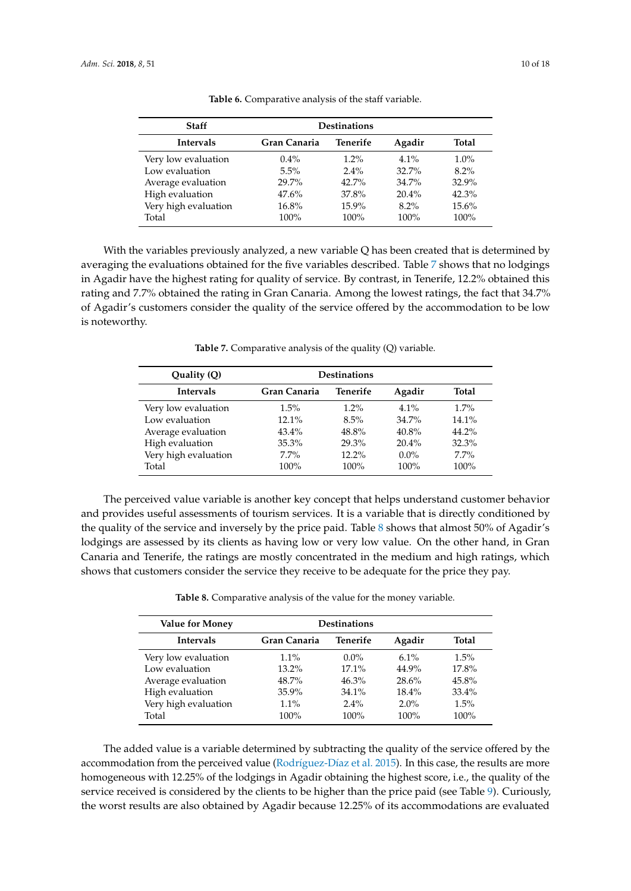<span id="page-9-0"></span>

| Staff                | <b>Destinations</b> |          |          |         |  |
|----------------------|---------------------|----------|----------|---------|--|
| <b>Intervals</b>     | Gran Canaria        | Total    |          |         |  |
| Very low evaluation  | $0.4\%$             | $1.2\%$  | $4.1\%$  | $1.0\%$ |  |
| Low evaluation       | $5.5\%$             | $2.4\%$  | 32.7%    | $8.2\%$ |  |
| Average evaluation   | 29.7%               | $42.7\%$ | $34.7\%$ | 32.9%   |  |
| High evaluation      | 47.6%               | 37.8%    | $20.4\%$ | 42.3%   |  |
| Very high evaluation | 16.8%               | $15.9\%$ | $8.2\%$  | 15.6%   |  |
| Total                | 100%                | $100\%$  | $100\%$  | 100%    |  |

**Table 6.** Comparative analysis of the staff variable.

With the variables previously analyzed, a new variable Q has been created that is determined by averaging the evaluations obtained for the five variables described. Table [7](#page-9-1) shows that no lodgings in Agadir have the highest rating for quality of service. By contrast, in Tenerife, 12.2% obtained this rating and 7.7% obtained the rating in Gran Canaria. Among the lowest ratings, the fact that 34.7% of Agadir's customers consider the quality of the service offered by the accommodation to be low is noteworthy.

**Table 7.** Comparative analysis of the quality (Q) variable.

<span id="page-9-1"></span>

| Quality (Q)          | <b>Destinations</b> |          |          |         |  |  |
|----------------------|---------------------|----------|----------|---------|--|--|
| <b>Intervals</b>     | Gran Canaria        | Agadir   | Total    |         |  |  |
| Very low evaluation  | $1.5\%$             | $1.2\%$  | $4.1\%$  | $1.7\%$ |  |  |
| Low evaluation       | $12.1\%$            | 8.5%     | $34.7\%$ | 14.1%   |  |  |
| Average evaluation   | $43.4\%$            | 48.8%    | $40.8\%$ | 44.2%   |  |  |
| High evaluation      | 35.3%               | 29.3%    | $20.4\%$ | 32.3%   |  |  |
| Very high evaluation | $7.7\%$             | $12.2\%$ | $0.0\%$  | 7.7%    |  |  |
| Total                | 100%                | $100\%$  | 100%     | 100%    |  |  |

The perceived value variable is another key concept that helps understand customer behavior and provides useful assessments of tourism services. It is a variable that is directly conditioned by the quality of the service and inversely by the price paid. Table [8](#page-9-2) shows that almost 50% of Agadir's lodgings are assessed by its clients as having low or very low value. On the other hand, in Gran Canaria and Tenerife, the ratings are mostly concentrated in the medium and high ratings, which shows that customers consider the service they receive to be adequate for the price they pay.

**Table 8.** Comparative analysis of the value for the money variable.

<span id="page-9-2"></span>

| <b>Value for Money</b> | <b>Destinations</b>                |          |          |          |  |
|------------------------|------------------------------------|----------|----------|----------|--|
| <b>Intervals</b>       | Tenerife<br>Gran Canaria<br>Agadir |          |          |          |  |
| Very low evaluation    | $1.1\%$                            | $0.0\%$  | $6.1\%$  | 1.5%     |  |
| Low evaluation         | $13.2\%$                           | $17.1\%$ | 44.9%    | 17.8%    |  |
| Average evaluation     | 48.7%                              | $46.3\%$ | 28.6%    | 45.8%    |  |
| High evaluation        | 35.9%                              | $34.1\%$ | $18.4\%$ | $33.4\%$ |  |
| Very high evaluation   | $1.1\%$                            | $2.4\%$  | $2.0\%$  | 1.5%     |  |
| Total                  | $100\%$                            | $100\%$  | 100%     | 100%     |  |

The added value is a variable determined by subtracting the quality of the service offered by the accommodation from the perceived value (Rodríguez-Dí[az et al.](#page-16-0) [2015\)](#page-16-0). In this case, the results are more homogeneous with 12.25% of the lodgings in Agadir obtaining the highest score, i.e., the quality of the service received is considered by the clients to be higher than the price paid (see Table [9\)](#page-10-0). Curiously, the worst results are also obtained by Agadir because 12.25% of its accommodations are evaluated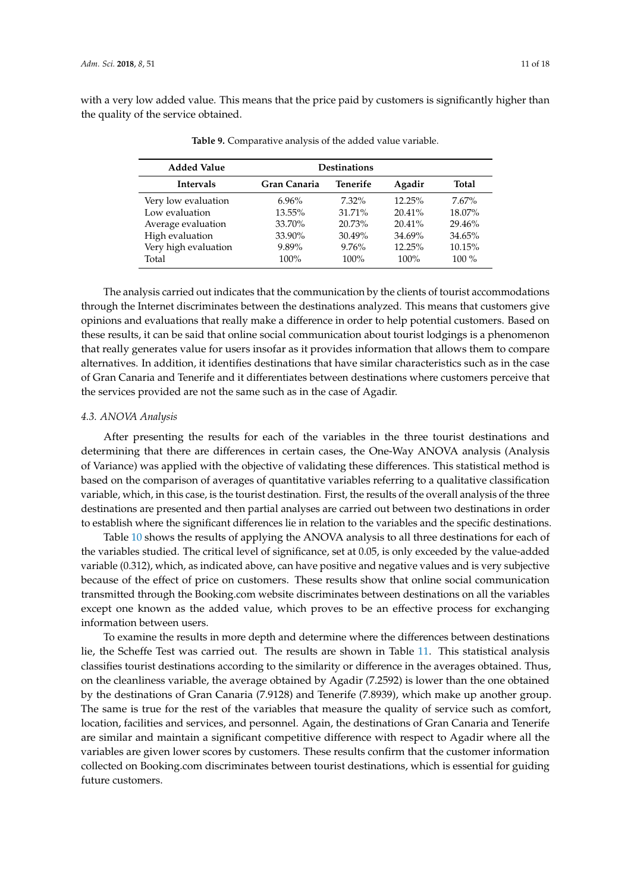<span id="page-10-0"></span>with a very low added value. This means that the price paid by customers is significantly higher than the quality of the service obtained.

| <b>Added Value</b>   | <b>Destinations</b> |           |           |              |  |  |
|----------------------|---------------------|-----------|-----------|--------------|--|--|
| <b>Intervals</b>     | Gran Canaria        | Tenerife  | Agadir    | <b>Total</b> |  |  |
| Very low evaluation  | $6.96\%$            | $7.32\%$  | 12.25%    | $7.67\%$     |  |  |
| Low evaluation       | 13.55%              | 31.71%    | $20.41\%$ | 18.07%       |  |  |
| Average evaluation   | 33.70%              | 20.73%    | $20.41\%$ | 29.46%       |  |  |
| High evaluation      | 33.90%              | $30.49\%$ | 34.69%    | 34.65%       |  |  |
| Very high evaluation | 9.89%               | 9.76%     | 12.25%    | 10.15%       |  |  |
| Total                | $100\%$             | $100\%$   | 100%      | $100\%$      |  |  |

**Table 9.** Comparative analysis of the added value variable.

The analysis carried out indicates that the communication by the clients of tourist accommodations through the Internet discriminates between the destinations analyzed. This means that customers give opinions and evaluations that really make a difference in order to help potential customers. Based on these results, it can be said that online social communication about tourist lodgings is a phenomenon that really generates value for users insofar as it provides information that allows them to compare alternatives. In addition, it identifies destinations that have similar characteristics such as in the case of Gran Canaria and Tenerife and it differentiates between destinations where customers perceive that the services provided are not the same such as in the case of Agadir.

### *4.3. ANOVA Analysis*

After presenting the results for each of the variables in the three tourist destinations and determining that there are differences in certain cases, the One-Way ANOVA analysis (Analysis of Variance) was applied with the objective of validating these differences. This statistical method is based on the comparison of averages of quantitative variables referring to a qualitative classification variable, which, in this case, is the tourist destination. First, the results of the overall analysis of the three destinations are presented and then partial analyses are carried out between two destinations in order to establish where the significant differences lie in relation to the variables and the specific destinations.

Table [10](#page-11-0) shows the results of applying the ANOVA analysis to all three destinations for each of the variables studied. The critical level of significance, set at 0.05, is only exceeded by the value-added variable (0.312), which, as indicated above, can have positive and negative values and is very subjective because of the effect of price on customers. These results show that online social communication transmitted through the Booking.com website discriminates between destinations on all the variables except one known as the added value, which proves to be an effective process for exchanging information between users.

To examine the results in more depth and determine where the differences between destinations lie, the Scheffe Test was carried out. The results are shown in Table [11.](#page-12-0) This statistical analysis classifies tourist destinations according to the similarity or difference in the averages obtained. Thus, on the cleanliness variable, the average obtained by Agadir (7.2592) is lower than the one obtained by the destinations of Gran Canaria (7.9128) and Tenerife (7.8939), which make up another group. The same is true for the rest of the variables that measure the quality of service such as comfort, location, facilities and services, and personnel. Again, the destinations of Gran Canaria and Tenerife are similar and maintain a significant competitive difference with respect to Agadir where all the variables are given lower scores by customers. These results confirm that the customer information collected on Booking.com discriminates between tourist destinations, which is essential for guiding future customers.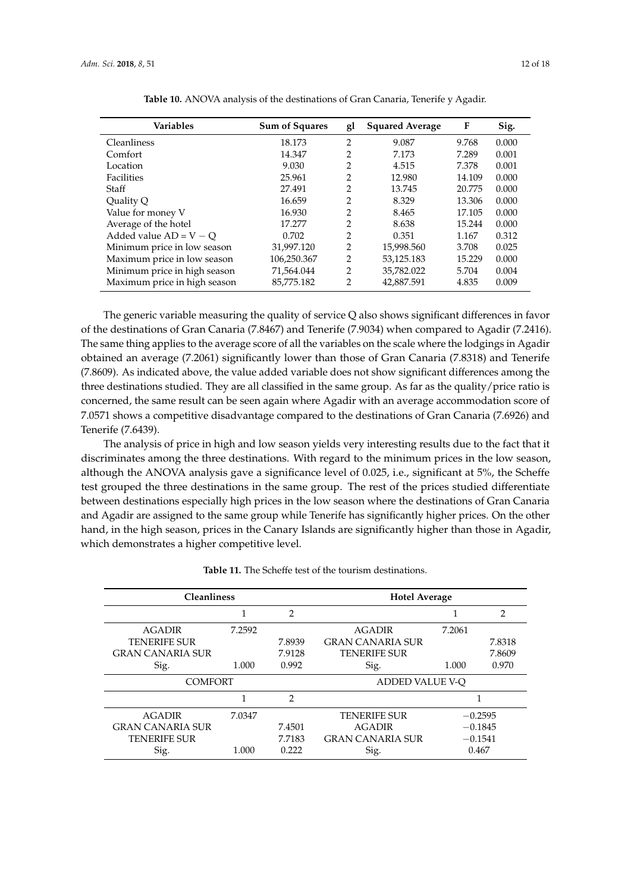<span id="page-11-0"></span>

| <b>Variables</b>             | <b>Sum of Squares</b> | gl             | <b>Squared Average</b> | F      | Sig.  |
|------------------------------|-----------------------|----------------|------------------------|--------|-------|
| Cleanliness                  | 18.173                | 2              | 9.087                  | 9.768  | 0.000 |
| Comfort                      | 14.347                | 2              | 7.173                  | 7.289  | 0.001 |
| Location                     | 9.030                 | 2              | 4.515                  | 7.378  | 0.001 |
| Facilities                   | 25.961                | 2              | 12.980                 | 14.109 | 0.000 |
| Staff                        | 27.491                | 2              | 13.745                 | 20.775 | 0.000 |
| Quality Q                    | 16.659                | 2              | 8.329                  | 13.306 | 0.000 |
| Value for money V            | 16.930                | 2              | 8.465                  | 17.105 | 0.000 |
| Average of the hotel         | 17.277                | 2              | 8.638                  | 15.244 | 0.000 |
| Added value $AD = V - O$     | 0.702                 | 2              | 0.351                  | 1.167  | 0.312 |
| Minimum price in low season  | 31,997.120            | 2              | 15,998.560             | 3.708  | 0.025 |
| Maximum price in low season  | 106,250.367           | 2              | 53,125.183             | 15.229 | 0.000 |
| Minimum price in high season | 71,564.044            | $\overline{2}$ | 35,782.022             | 5.704  | 0.004 |
| Maximum price in high season | 85,775.182            | 2              | 42.887.591             | 4.835  | 0.009 |

**Table 10.** ANOVA analysis of the destinations of Gran Canaria, Tenerife y Agadir.

The generic variable measuring the quality of service Q also shows significant differences in favor of the destinations of Gran Canaria (7.8467) and Tenerife (7.9034) when compared to Agadir (7.2416). The same thing applies to the average score of all the variables on the scale where the lodgings in Agadir obtained an average (7.2061) significantly lower than those of Gran Canaria (7.8318) and Tenerife (7.8609). As indicated above, the value added variable does not show significant differences among the three destinations studied. They are all classified in the same group. As far as the quality/price ratio is concerned, the same result can be seen again where Agadir with an average accommodation score of 7.0571 shows a competitive disadvantage compared to the destinations of Gran Canaria (7.6926) and Tenerife (7.6439).

The analysis of price in high and low season yields very interesting results due to the fact that it discriminates among the three destinations. With regard to the minimum prices in the low season, although the ANOVA analysis gave a significance level of 0.025, i.e., significant at 5%, the Scheffe test grouped the three destinations in the same group. The rest of the prices studied differentiate between destinations especially high prices in the low season where the destinations of Gran Canaria and Agadir are assigned to the same group while Tenerife has significantly higher prices. On the other hand, in the high season, prices in the Canary Islands are significantly higher than those in Agadir, which demonstrates a higher competitive level.

|                         | <b>Cleanliness</b> |                |                         | <b>Hotel Average</b> |                |
|-------------------------|--------------------|----------------|-------------------------|----------------------|----------------|
|                         | 1                  | $\overline{2}$ |                         |                      | $\overline{2}$ |
| <b>AGADIR</b>           | 7.2592             |                | <b>AGADIR</b>           | 7.2061               |                |
| <b>TENERIFE SUR</b>     |                    | 7.8939         | <b>GRAN CANARIA SUR</b> |                      | 7.8318         |
| <b>GRAN CANARIA SUR</b> |                    | 7.9128         | <b>TENERIFE SUR</b>     |                      | 7.8609         |
| Sig.                    | 1.000              | 0.992          | Sig.                    | 1.000                | 0.970          |
| <b>COMFORT</b>          |                    |                | ADDED VALUE V-O         |                      |                |
|                         |                    | $\mathfrak{D}$ |                         |                      |                |
| <b>AGADIR</b>           | 7.0347             |                | <b>TENERIFE SUR</b>     |                      | $-0.2595$      |
| <b>GRAN CANARIA SUR</b> |                    | 7.4501         | <b>AGADIR</b>           |                      | $-0.1845$      |
| <b>TENERIFE SUR</b>     |                    | 7.7183         | <b>GRAN CANARIA SUR</b> |                      | $-0.1541$      |
| Sig.                    | 1.000              | 0.222          | Sig.                    |                      | 0.467          |

**Table 11.** The Scheffe test of the tourism destinations.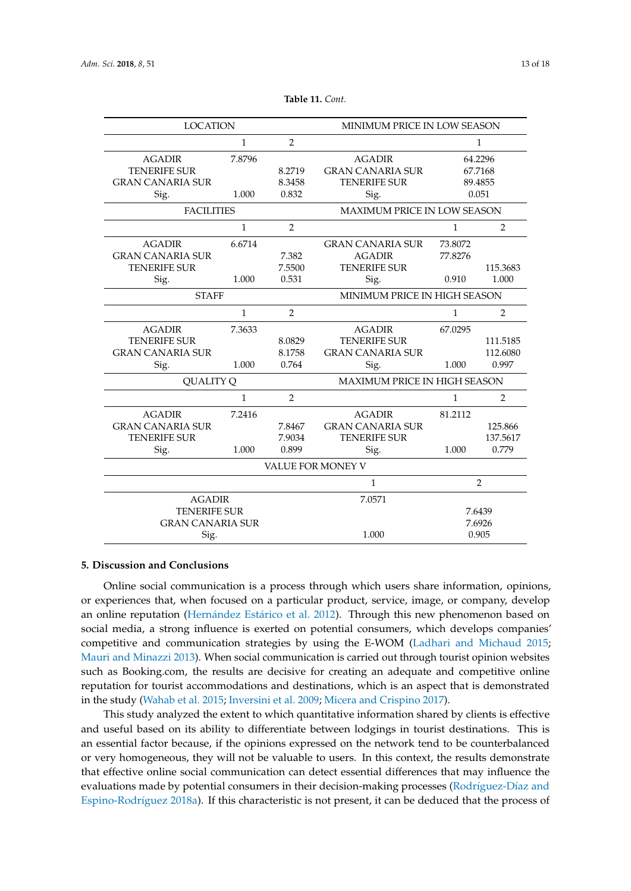<span id="page-12-0"></span>

| <b>LOCATION</b>         |              |                | MINIMUM PRICE IN LOW SEASON         |              |                |
|-------------------------|--------------|----------------|-------------------------------------|--------------|----------------|
|                         | $\mathbf{1}$ | $\overline{2}$ |                                     | $\mathbf{1}$ |                |
| <b>AGADIR</b>           | 7.8796       |                | <b>AGADIR</b>                       | 64.2296      |                |
| <b>TENERIFE SUR</b>     |              | 8.2719         | <b>GRAN CANARIA SUR</b>             | 67.7168      |                |
| <b>GRAN CANARIA SUR</b> |              | 8.3458         | <b>TENERIFE SUR</b>                 | 89.4855      |                |
| Sig.                    | 1.000        | 0.832          | Sig.                                | 0.051        |                |
| <b>FACILITIES</b>       |              |                | <b>MAXIMUM PRICE IN LOW SEASON</b>  |              |                |
|                         | $\mathbf{1}$ | $\overline{2}$ |                                     | $\mathbf{1}$ | $\overline{2}$ |
| <b>AGADIR</b>           | 6.6714       |                | <b>GRAN CANARIA SUR</b>             | 73.8072      |                |
| <b>GRAN CANARIA SUR</b> |              | 7.382          | <b>AGADIR</b>                       | 77.8276      |                |
| <b>TENERIFE SUR</b>     |              | 7.5500         | <b>TENERIFE SUR</b>                 |              | 115.3683       |
| Sig.                    | 1.000        | 0.531          | Sig.                                | 0.910        | 1.000          |
| <b>STAFF</b>            |              |                | MINIMUM PRICE IN HIGH SEASON        |              |                |
|                         | $\mathbf{1}$ | $\overline{2}$ |                                     | $\mathbf{1}$ | 2              |
| <b>AGADIR</b>           | 7.3633       |                | <b>AGADIR</b>                       | 67.0295      |                |
| <b>TENERIFE SUR</b>     |              | 8.0829         | <b>TENERIFE SUR</b>                 |              | 111.5185       |
| <b>GRAN CANARIA SUR</b> |              | 8.1758         | <b>GRAN CANARIA SUR</b>             |              | 112.6080       |
| Sig.                    | 1.000        | 0.764          | Sig.                                | 1.000        | 0.997          |
| <b>OUALITY O</b>        |              |                | <b>MAXIMUM PRICE IN HIGH SEASON</b> |              |                |
|                         | $\mathbf{1}$ | $\overline{2}$ |                                     | 1            | 2              |
| <b>AGADIR</b>           | 7.2416       |                | <b>AGADIR</b>                       | 81.2112      |                |
| <b>GRAN CANARIA SUR</b> |              | 7.8467         | <b>GRAN CANARIA SUR</b>             |              | 125.866        |
| <b>TENERIFE SUR</b>     |              | 7.9034         | <b>TENERIFE SUR</b>                 |              | 137.5617       |
| Sig.                    | 1.000        | 0.899          | Sig.                                | 1.000        | 0.779          |
| VALUE FOR MONEY V       |              |                |                                     |              |                |
|                         |              | $\mathbf{1}$   | $\overline{2}$                      |              |                |
| <b>AGADIR</b>           |              |                | 7.0571                              |              |                |
| <b>TENERIFE SUR</b>     |              |                |                                     | 7.6439       |                |
| <b>GRAN CANARIA SUR</b> |              |                |                                     | 7.6926       |                |
| Sig.                    |              |                | 1.000                               | 0.905        |                |

**Table 11.** *Cont.*

### **5. Discussion and Conclusions**

Online social communication is a process through which users share information, opinions, or experiences that, when focused on a particular product, service, image, or company, develop an online reputation (Hernández Está[rico et al.](#page-15-5) [2012\)](#page-15-5). Through this new phenomenon based on social media, a strong influence is exerted on potential consumers, which develops companies' competitive and communication strategies by using the E-WOM [\(Ladhari and Michaud](#page-15-11) [2015;](#page-15-11) [Mauri and Minazzi](#page-15-10) [2013\)](#page-15-10). When social communication is carried out through tourist opinion websites such as Booking.com, the results are decisive for creating an adequate and competitive online reputation for tourist accommodations and destinations, which is an aspect that is demonstrated in the study [\(Wahab et al.](#page-17-2) [2015;](#page-17-2) [Inversini et al.](#page-15-12) [2009;](#page-15-12) [Micera and Crispino](#page-15-13) [2017\)](#page-15-13).

This study analyzed the extent to which quantitative information shared by clients is effective and useful based on its ability to differentiate between lodgings in tourist destinations. This is an essential factor because, if the opinions expressed on the network tend to be counterbalanced or very homogeneous, they will not be valuable to users. In this context, the results demonstrate that effective online social communication can detect essential differences that may influence the evaluations made by potential consumers in their decision-making processes (Rodrí[guez-D](#page-16-7)íaz and [Espino-Rodr](#page-16-7)íguez [2018a\)](#page-16-7). If this characteristic is not present, it can be deduced that the process of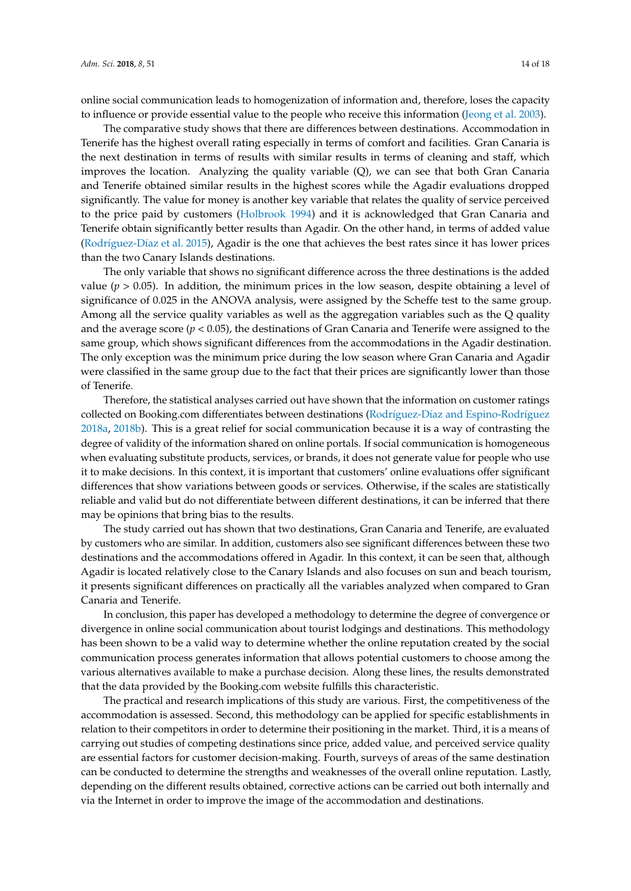online social communication leads to homogenization of information and, therefore, loses the capacity to influence or provide essential value to the people who receive this information [\(Jeong et al.](#page-15-15) [2003\)](#page-15-15).

The comparative study shows that there are differences between destinations. Accommodation in Tenerife has the highest overall rating especially in terms of comfort and facilities. Gran Canaria is the next destination in terms of results with similar results in terms of cleaning and staff, which improves the location. Analyzing the quality variable (Q), we can see that both Gran Canaria and Tenerife obtained similar results in the highest scores while the Agadir evaluations dropped significantly. The value for money is another key variable that relates the quality of service perceived to the price paid by customers [\(Holbrook](#page-15-17) [1994\)](#page-15-17) and it is acknowledged that Gran Canaria and Tenerife obtain significantly better results than Agadir. On the other hand, in terms of added value (Rodríguez-Dí[az et al.](#page-16-0) [2015\)](#page-16-0), Agadir is the one that achieves the best rates since it has lower prices than the two Canary Islands destinations.

The only variable that shows no significant difference across the three destinations is the added value ( $p > 0.05$ ). In addition, the minimum prices in the low season, despite obtaining a level of significance of 0.025 in the ANOVA analysis, were assigned by the Scheffe test to the same group. Among all the service quality variables as well as the aggregation variables such as the Q quality and the average score ( $p < 0.05$ ), the destinations of Gran Canaria and Tenerife were assigned to the same group, which shows significant differences from the accommodations in the Agadir destination. The only exception was the minimum price during the low season where Gran Canaria and Agadir were classified in the same group due to the fact that their prices are significantly lower than those of Tenerife.

Therefore, the statistical analyses carried out have shown that the information on customer ratings collected on Booking.com differentiates between destinations (Rodríguez-Dí[az and Espino-Rodr](#page-16-7)íguez [2018a,](#page-16-7) [2018b\)](#page-16-8). This is a great relief for social communication because it is a way of contrasting the degree of validity of the information shared on online portals. If social communication is homogeneous when evaluating substitute products, services, or brands, it does not generate value for people who use it to make decisions. In this context, it is important that customers' online evaluations offer significant differences that show variations between goods or services. Otherwise, if the scales are statistically reliable and valid but do not differentiate between different destinations, it can be inferred that there may be opinions that bring bias to the results.

The study carried out has shown that two destinations, Gran Canaria and Tenerife, are evaluated by customers who are similar. In addition, customers also see significant differences between these two destinations and the accommodations offered in Agadir. In this context, it can be seen that, although Agadir is located relatively close to the Canary Islands and also focuses on sun and beach tourism, it presents significant differences on practically all the variables analyzed when compared to Gran Canaria and Tenerife.

In conclusion, this paper has developed a methodology to determine the degree of convergence or divergence in online social communication about tourist lodgings and destinations. This methodology has been shown to be a valid way to determine whether the online reputation created by the social communication process generates information that allows potential customers to choose among the various alternatives available to make a purchase decision. Along these lines, the results demonstrated that the data provided by the Booking.com website fulfills this characteristic.

The practical and research implications of this study are various. First, the competitiveness of the accommodation is assessed. Second, this methodology can be applied for specific establishments in relation to their competitors in order to determine their positioning in the market. Third, it is a means of carrying out studies of competing destinations since price, added value, and perceived service quality are essential factors for customer decision-making. Fourth, surveys of areas of the same destination can be conducted to determine the strengths and weaknesses of the overall online reputation. Lastly, depending on the different results obtained, corrective actions can be carried out both internally and via the Internet in order to improve the image of the accommodation and destinations.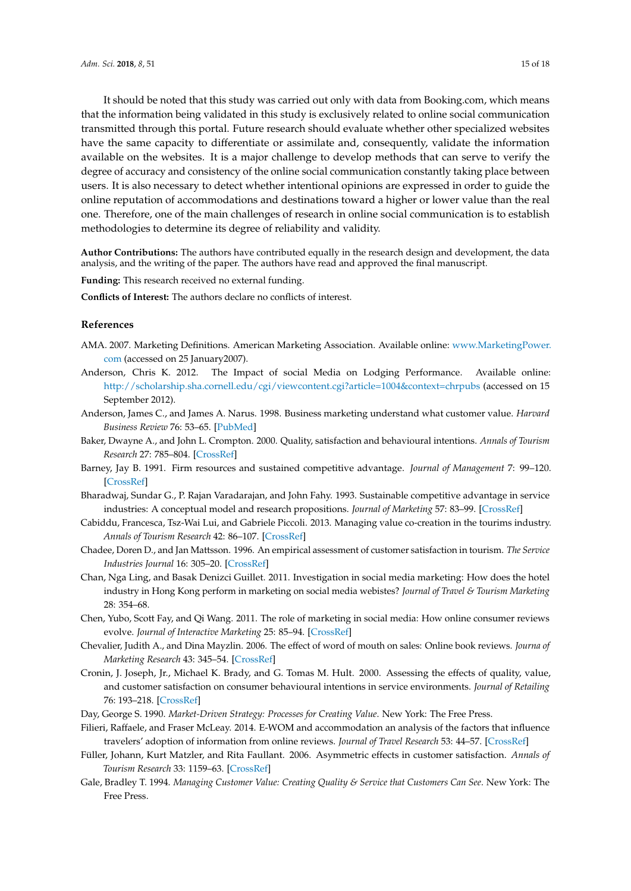It should be noted that this study was carried out only with data from Booking.com, which means that the information being validated in this study is exclusively related to online social communication transmitted through this portal. Future research should evaluate whether other specialized websites have the same capacity to differentiate or assimilate and, consequently, validate the information available on the websites. It is a major challenge to develop methods that can serve to verify the degree of accuracy and consistency of the online social communication constantly taking place between users. It is also necessary to detect whether intentional opinions are expressed in order to guide the online reputation of accommodations and destinations toward a higher or lower value than the real one. Therefore, one of the main challenges of research in online social communication is to establish methodologies to determine its degree of reliability and validity.

**Author Contributions:** The authors have contributed equally in the research design and development, the data analysis, and the writing of the paper. The authors have read and approved the final manuscript.

**Funding:** This research received no external funding.

**Conflicts of Interest:** The authors declare no conflicts of interest.

### **References**

- <span id="page-14-6"></span>AMA. 2007. Marketing Definitions. American Marketing Association. Available online: [www.MarketingPower.](www.MarketingPower.com) [com](www.MarketingPower.com) (accessed on 25 January2007).
- <span id="page-14-7"></span>Anderson, Chris K. 2012. The Impact of social Media on Lodging Performance. Available online: <http://scholarship.sha.cornell.edu/cgi/viewcontent.cgi?article=1004&context=chrpubs> (accessed on 15 September 2012).
- <span id="page-14-10"></span>Anderson, James C., and James A. Narus. 1998. Business marketing understand what customer value. *Harvard Business Review* 76: 53–65. [\[PubMed\]](http://www.ncbi.nlm.nih.gov/pubmed/10187246)
- <span id="page-14-13"></span>Baker, Dwayne A., and John L. Crompton. 2000. Quality, satisfaction and behavioural intentions. *Annals of Tourism Research* 27: 785–804. [\[CrossRef\]](http://dx.doi.org/10.1016/S0160-7383(99)00108-5)
- <span id="page-14-4"></span>Barney, Jay B. 1991. Firm resources and sustained competitive advantage. *Journal of Management* 7: 99–120. [\[CrossRef\]](http://dx.doi.org/10.1177/014920639101700108)
- <span id="page-14-5"></span>Bharadwaj, Sundar G., P. Rajan Varadarajan, and John Fahy. 1993. Sustainable competitive advantage in service industries: A conceptual model and research propositions. *Journal of Marketing* 57: 83–99. [\[CrossRef\]](http://dx.doi.org/10.2307/1252221)
- <span id="page-14-15"></span>Cabiddu, Francesca, Tsz-Wai Lui, and Gabriele Piccoli. 2013. Managing value co-creation in the tourims industry. *Annals of Tourism Research* 42: 86–107. [\[CrossRef\]](http://dx.doi.org/10.1016/j.annals.2013.01.001)
- <span id="page-14-12"></span>Chadee, Doren D., and Jan Mattsson. 1996. An empirical assessment of customer satisfaction in tourism. *The Service Industries Journal* 16: 305–20. [\[CrossRef\]](http://dx.doi.org/10.1080/02642069600000030)
- <span id="page-14-0"></span>Chan, Nga Ling, and Basak Denizci Guillet. 2011. Investigation in social media marketing: How does the hotel industry in Hong Kong perform in marketing on social media webistes? *Journal of Travel & Tourism Marketing* 28: 354–68.
- <span id="page-14-2"></span>Chen, Yubo, Scott Fay, and Qi Wang. 2011. The role of marketing in social media: How online consumer reviews evolve. *Journal of Interactive Marketing* 25: 85–94. [\[CrossRef\]](http://dx.doi.org/10.1016/j.intmar.2011.01.003)
- <span id="page-14-3"></span>Chevalier, Judith A., and Dina Mayzlin. 2006. The effect of word of mouth on sales: Online book reviews. *Journa of Marketing Research* 43: 345–54. [\[CrossRef\]](http://dx.doi.org/10.1509/jmkr.43.3.345)
- <span id="page-14-11"></span>Cronin, J. Joseph, Jr., Michael K. Brady, and G. Tomas M. Hult. 2000. Assessing the effects of quality, value, and customer satisfaction on consumer behavioural intentions in service environments. *Journal of Retailing* 76: 193–218. [\[CrossRef\]](http://dx.doi.org/10.1016/S0022-4359(00)00028-2)
- <span id="page-14-9"></span>Day, George S. 1990. *Market-Driven Strategy: Processes for Creating Value*. New York: The Free Press.
- <span id="page-14-1"></span>Filieri, Raffaele, and Fraser McLeay. 2014. E-WOM and accommodation an analysis of the factors that influence travelers' adoption of information from online reviews. *Journal of Travel Research* 53: 44–57. [\[CrossRef\]](http://dx.doi.org/10.1177/0047287513481274)
- <span id="page-14-14"></span>Füller, Johann, Kurt Matzler, and Rita Faullant. 2006. Asymmetric effects in customer satisfaction. *Annals of Tourism Research* 33: 1159–63. [\[CrossRef\]](http://dx.doi.org/10.1016/j.annals.2006.06.006)
- <span id="page-14-8"></span>Gale, Bradley T. 1994. *Managing Customer Value: Creating Quality & Service that Customers Can See*. New York: The Free Press.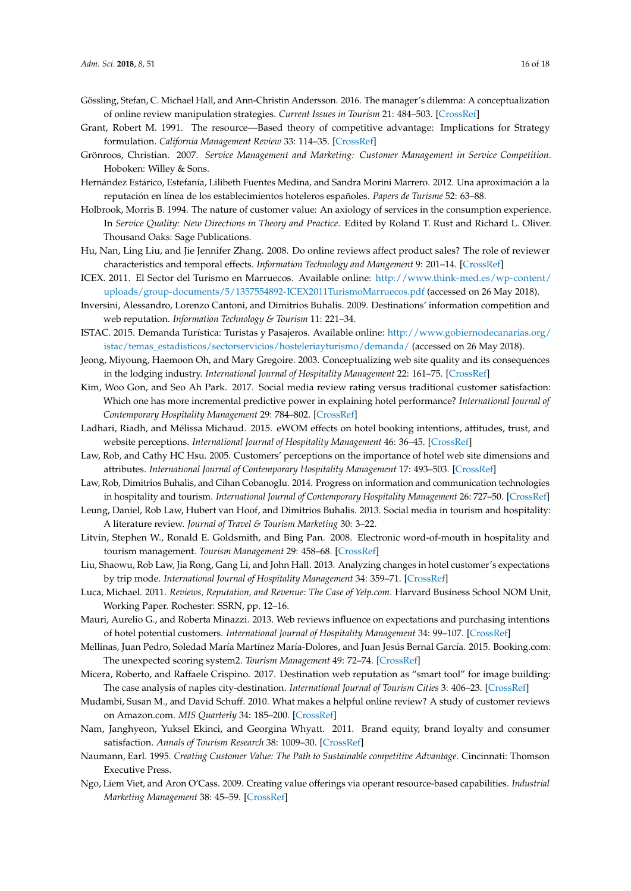- <span id="page-15-6"></span>Gössling, Stefan, C. Michael Hall, and Ann-Christin Andersson. 2016. The manager's dilemma: A conceptualization of online review manipulation strategies. *Current Issues in Tourism* 21: 484–503. [\[CrossRef\]](http://dx.doi.org/10.1080/13683500.2015.1127337)
- <span id="page-15-7"></span>Grant, Robert M. 1991. The resource—Based theory of competitive advantage: Implications for Strategy formulation. *California Management Review* 33: 114–35. [\[CrossRef\]](http://dx.doi.org/10.2307/41166664)
- <span id="page-15-8"></span>Grönroos, Christian. 2007. *Service Management and Marketing: Customer Management in Service Competition*. Hoboken: Willey & Sons.
- <span id="page-15-5"></span>Hernández Estárico, Estefanía, Lilibeth Fuentes Medina, and Sandra Morini Marrero. 2012. Una aproximación a la reputación en línea de los establecimientos hoteleros españoles. *Papers de Turisme* 52: 63–88.
- <span id="page-15-17"></span>Holbrook, Morris B. 1994. The nature of customer value: An axiology of services in the consumption experience. In *Service Quality: New Directions in Theory and Practice*. Edited by Roland T. Rust and Richard L. Oliver. Thousand Oaks: Sage Publications.
- <span id="page-15-21"></span>Hu, Nan, Ling Liu, and Jie Jennifer Zhang. 2008. Do online reviews affect product sales? The role of reviewer characteristics and temporal effects. *Information Technology and Mangement* 9: 201–14. [\[CrossRef\]](http://dx.doi.org/10.1007/s10799-008-0041-2)
- <span id="page-15-23"></span>ICEX. 2011. El Sector del Turismo en Marruecos. Available online: [http://www.think-med.es/wp-content/](http://www.think-med.es/wp-content/uploads/group-documents/5/1357554892-ICEX2011TurismoMarruecos.pdf) [uploads/group-documents/5/1357554892-ICEX2011TurismoMarruecos.pdf](http://www.think-med.es/wp-content/uploads/group-documents/5/1357554892-ICEX2011TurismoMarruecos.pdf) (accessed on 26 May 2018).
- <span id="page-15-12"></span>Inversini, Alessandro, Lorenzo Cantoni, and Dimitrios Buhalis. 2009. Destinations' information competition and web reputation. *Information Technology & Tourism* 11: 221–34.
- <span id="page-15-22"></span>ISTAC. 2015. Demanda Turística: Turistas y Pasajeros. Available online: [http://www.gobiernodecanarias.org/](http://www.gobiernodecanarias.org/istac/temas_estadisticos/sectorservicios/hosteleriayturismo/demanda/) [istac/temas\\_estadisticos/sectorservicios/hosteleriayturismo/demanda/](http://www.gobiernodecanarias.org/istac/temas_estadisticos/sectorservicios/hosteleriayturismo/demanda/) (accessed on 26 May 2018).
- <span id="page-15-15"></span>Jeong, Miyoung, Haemoon Oh, and Mary Gregoire. 2003. Conceptualizing web site quality and its consequences in the lodging industry. *International Journal of Hospitality Management* 22: 161–75. [\[CrossRef\]](http://dx.doi.org/10.1016/S0278-4319(03)00016-1)
- <span id="page-15-1"></span>Kim, Woo Gon, and Seo Ah Park. 2017. Social media review rating versus traditional customer satisfaction: Which one has more incremental predictive power in explaining hotel performance? *International Journal of Contemporary Hospitality Management* 29: 784–802. [\[CrossRef\]](http://dx.doi.org/10.1108/IJCHM-11-2015-0627)
- <span id="page-15-11"></span>Ladhari, Riadh, and Mélissa Michaud. 2015. eWOM effects on hotel booking intentions, attitudes, trust, and website perceptions. *International Journal of Hospitality Management* 46: 36–45. [\[CrossRef\]](http://dx.doi.org/10.1016/j.ijhm.2015.01.010)
- <span id="page-15-14"></span>Law, Rob, and Cathy HC Hsu. 2005. Customers' perceptions on the importance of hotel web site dimensions and attributes. *International Journal of Contemporary Hospitality Management* 17: 493–503. [\[CrossRef\]](http://dx.doi.org/10.1108/09596110510612130)
- <span id="page-15-0"></span>Law, Rob, Dimitrios Buhalis, and Cihan Cobanoglu. 2014. Progress on information and communication technologies in hospitality and tourism. *International Journal of Contemporary Hospitality Management* 26: 727–50. [\[CrossRef\]](http://dx.doi.org/10.1108/IJCHM-08-2013-0367)
- <span id="page-15-2"></span>Leung, Daniel, Rob Law, Hubert van Hoof, and Dimitrios Buhalis. 2013. Social media in tourism and hospitality: A literature review. *Journal of Travel & Tourism Marketing* 30: 3–22.
- <span id="page-15-3"></span>Litvin, Stephen W., Ronald E. Goldsmith, and Bing Pan. 2008. Electronic word-of-mouth in hospitality and tourism management. *Tourism Management* 29: 458–68. [\[CrossRef\]](http://dx.doi.org/10.1016/j.tourman.2007.05.011)
- <span id="page-15-4"></span>Liu, Shaowu, Rob Law, Jia Rong, Gang Li, and John Hall. 2013. Analyzing changes in hotel customer's expectations by trip mode. *International Journal of Hospitality Management* 34: 359–71. [\[CrossRef\]](http://dx.doi.org/10.1016/j.ijhm.2012.11.011)
- <span id="page-15-16"></span>Luca, Michael. 2011. *Reviews, Reputation, and Revenue: The Case of Yelp.com*. Harvard Business School NOM Unit, Working Paper. Rochester: SSRN, pp. 12–16.
- <span id="page-15-10"></span>Mauri, Aurelio G., and Roberta Minazzi. 2013. Web reviews influence on expectations and purchasing intentions of hotel potential customers. *International Journal of Hospitality Management* 34: 99–107. [\[CrossRef\]](http://dx.doi.org/10.1016/j.ijhm.2013.02.012)
- <span id="page-15-24"></span>Mellinas, Juan Pedro, Soledad María Martínez María-Dolores, and Juan Jesús Bernal García. 2015. Booking.com: The unexpected scoring system2. *Tourism Management* 49: 72–74. [\[CrossRef\]](http://dx.doi.org/10.1016/j.tourman.2014.08.019)
- <span id="page-15-13"></span>Micera, Roberto, and Raffaele Crispino. 2017. Destination web reputation as "smart tool" for image building: The case analysis of naples city-destination. *International Journal of Tourism Cities* 3: 406–23. [\[CrossRef\]](http://dx.doi.org/10.1108/IJTC-11-2016-0048)
- <span id="page-15-20"></span>Mudambi, Susan M., and David Schuff. 2010. What makes a helpful online review? A study of customer reviews on Amazon.com. *MIS Quarterly* 34: 185–200. [\[CrossRef\]](http://dx.doi.org/10.2307/20721420)
- <span id="page-15-19"></span>Nam, Janghyeon, Yuksel Ekinci, and Georgina Whyatt. 2011. Brand equity, brand loyalty and consumer satisfaction. *Annals of Tourism Research* 38: 1009–30. [\[CrossRef\]](http://dx.doi.org/10.1016/j.annals.2011.01.015)
- <span id="page-15-18"></span>Naumann, Earl. 1995. *Creating Customer Value: The Path to Sustainable competitive Advantage*. Cincinnati: Thomson Executive Press.
- <span id="page-15-9"></span>Ngo, Liem Viet, and Aron O'Cass. 2009. Creating value offerings via operant resource-based capabilities. *Industrial Marketing Management* 38: 45–59. [\[CrossRef\]](http://dx.doi.org/10.1016/j.indmarman.2007.11.002)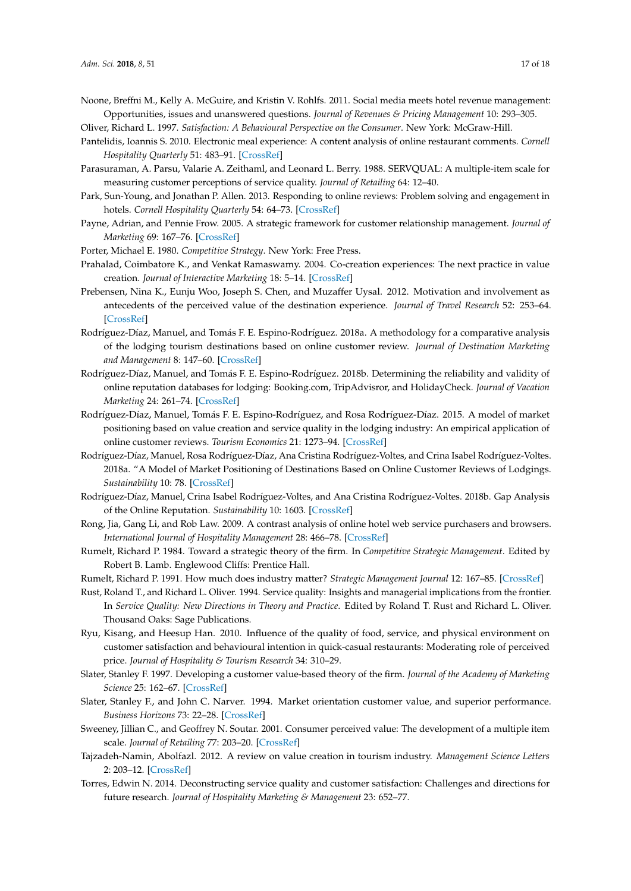<span id="page-16-12"></span>Noone, Breffni M., Kelly A. McGuire, and Kristin V. Rohlfs. 2011. Social media meets hotel revenue management: Opportunities, issues and unanswered questions. *Journal of Revenues & Pricing Management* 10: 293–305.

<span id="page-16-18"></span>Oliver, Richard L. 1997. *Satisfaction: A Behavioural Perspective on the Consumer*. New York: McGraw-Hill.

- <span id="page-16-21"></span>Pantelidis, Ioannis S. 2010. Electronic meal experience: A content analysis of online restaurant comments. *Cornell Hospitality Quarterly* 51: 483–91. [\[CrossRef\]](http://dx.doi.org/10.1177/1938965510378574)
- <span id="page-16-4"></span>Parasuraman, A. Parsu, Valarie A. Zeithaml, and Leonard L. Berry. 1988. SERVQUAL: A multiple-item scale for measuring customer perceptions of service quality. *Journal of Retailing* 64: 12–40.
- <span id="page-16-1"></span>Park, Sun-Young, and Jonathan P. Allen. 2013. Responding to online reviews: Problem solving and engagement in hotels. *Cornell Hospitality Quarterly* 54: 64–73. [\[CrossRef\]](http://dx.doi.org/10.1177/1938965512463118)
- <span id="page-16-10"></span>Payne, Adrian, and Pennie Frow. 2005. A strategic framework for customer relationship management. *Journal of Marketing* 69: 167–76. [\[CrossRef\]](http://dx.doi.org/10.1509/jmkg.2005.69.4.167)
- <span id="page-16-19"></span><span id="page-16-9"></span>Porter, Michael E. 1980. *Competitive Strategy*. New York: Free Press.
- Prahalad, Coimbatore K., and Venkat Ramaswamy. 2004. Co-creation experiences: The next practice in value creation. *Journal of Interactive Marketing* 18: 5–14. [\[CrossRef\]](http://dx.doi.org/10.1002/dir.20015)
- <span id="page-16-23"></span>Prebensen, Nina K., Eunju Woo, Joseph S. Chen, and Muzaffer Uysal. 2012. Motivation and involvement as antecedents of the perceived value of the destination experience. *Journal of Travel Research* 52: 253–64. [\[CrossRef\]](http://dx.doi.org/10.1177/0047287512461181)
- <span id="page-16-7"></span>Rodríguez-Díaz, Manuel, and Tomás F. E. Espino-Rodríguez. 2018a. A methodology for a comparative analysis of the lodging tourism destinations based on online customer review. *Journal of Destination Marketing and Management* 8: 147–60. [\[CrossRef\]](http://dx.doi.org/10.1016/j.jdmm.2017.02.006)
- <span id="page-16-8"></span>Rodríguez-Díaz, Manuel, and Tomás F. E. Espino-Rodríguez. 2018b. Determining the reliability and validity of online reputation databases for lodging: Booking.com, TripAdvisror, and HolidayCheck. *Journal of Vacation Marketing* 24: 261–74. [\[CrossRef\]](http://dx.doi.org/10.1177/1356766717706103)
- <span id="page-16-0"></span>Rodríguez-Díaz, Manuel, Tomás F. E. Espino-Rodríguez, and Rosa Rodríguez-Díaz. 2015. A model of market positioning based on value creation and service quality in the lodging industry: An empirical application of online customer reviews. *Tourism Economics* 21: 1273–94. [\[CrossRef\]](http://dx.doi.org/10.5367/te.2014.0404)
- <span id="page-16-2"></span>Rodríguez-Díaz, Manuel, Rosa Rodríguez-Díaz, Ana Cristina Rodríguez-Voltes, and Crina Isabel Rodríguez-Voltes. 2018a. "A Model of Market Positioning of Destinations Based on Online Customer Reviews of Lodgings. *Sustainability* 10: 78. [\[CrossRef\]](http://dx.doi.org/10.3390/su10010078)
- <span id="page-16-3"></span>Rodríguez-Díaz, Manuel, Crina Isabel Rodríguez-Voltes, and Ana Cristina Rodríguez-Voltes. 2018b. Gap Analysis of the Online Reputation. *Sustainability* 10: 1603. [\[CrossRef\]](http://dx.doi.org/10.3390/su10051603)
- <span id="page-16-11"></span>Rong, Jia, Gang Li, and Rob Law. 2009. A contrast analysis of online hotel web service purchasers and browsers. *International Journal of Hospitality Management* 28: 466–78. [\[CrossRef\]](http://dx.doi.org/10.1016/j.ijhm.2009.02.002)
- <span id="page-16-14"></span>Rumelt, Richard P. 1984. Toward a strategic theory of the firm. In *Competitive Strategic Management*. Edited by Robert B. Lamb. Englewood Cliffs: Prentice Hall.
- <span id="page-16-15"></span>Rumelt, Richard P. 1991. How much does industry matter? *Strategic Management Journal* 12: 167–85. [\[CrossRef\]](http://dx.doi.org/10.1002/smj.4250120302)
- <span id="page-16-5"></span>Rust, Roland T., and Richard L. Oliver. 1994. Service quality: Insights and managerial implications from the frontier. In *Service Quality: New Directions in Theory and Practice*. Edited by Roland T. Rust and Richard L. Oliver. Thousand Oaks: Sage Publications.
- <span id="page-16-22"></span>Ryu, Kisang, and Heesup Han. 2010. Influence of the quality of food, service, and physical environment on customer satisfaction and behavioural intention in quick-casual restaurants: Moderating role of perceived price. *Journal of Hospitality & Tourism Research* 34: 310–29.
- <span id="page-16-17"></span>Slater, Stanley F. 1997. Developing a customer value-based theory of the firm. *Journal of the Academy of Marketing Science* 25: 162–67. [\[CrossRef\]](http://dx.doi.org/10.1007/BF02894352)
- <span id="page-16-16"></span>Slater, Stanley F., and John C. Narver. 1994. Market orientation customer value, and superior performance. *Business Horizons* 73: 22–28. [\[CrossRef\]](http://dx.doi.org/10.1016/0007-6813(94)90029-9)
- <span id="page-16-6"></span>Sweeney, Jillian C., and Geoffrey N. Soutar. 2001. Consumer perceived value: The development of a multiple item scale. *Journal of Retailing* 77: 203–20. [\[CrossRef\]](http://dx.doi.org/10.1016/S0022-4359(01)00041-0)
- <span id="page-16-20"></span>Tajzadeh-Namin, Abolfazl. 2012. A review on value creation in tourism industry. *Management Science Letters* 2: 203–12. [\[CrossRef\]](http://dx.doi.org/10.5267/j.msl.2011.09.004)
- <span id="page-16-13"></span>Torres, Edwin N. 2014. Deconstructing service quality and customer satisfaction: Challenges and directions for future research. *Journal of Hospitality Marketing & Management* 23: 652–77.